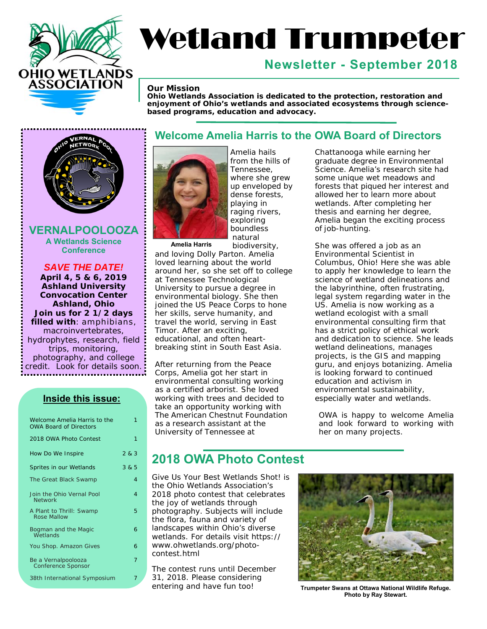

# Wetland Trumpeter

# **Newsletter - September 2018**

#### *Our Mission*

*Ohio Wetlands Association is dedicated to the protection, restoration and enjoyment of Ohio's wetlands and associated ecosystems through sciencebased programs, education and advocacy.* 



**VERNALPOOLOOZA A Wetlands Science Conference** 

*SAVE THE DATE!* **April 4, 5 & 6, 2019 Ashland University Convocation Center Ashland, Ohio Join us for 2 1/2 days filled with**: amphibians, macroinvertebrates, hydrophytes, research, field trips, monitoring, photography, and college credit. Look for details soon.

#### **Inside this issue:**

| Welcome Amelia Harris to the<br><b>OWA Board of Directors</b> | 1     |
|---------------------------------------------------------------|-------|
| 2018 OWA Photo Contest                                        | 1     |
| How Do We Inspire                                             | 2 & 3 |
| Sprites in our Wetlands                                       | 3 & 5 |
| The Great Black Swamp                                         | 4     |
| Join the Ohio Vernal Pool<br><b>Network</b>                   | 4     |
| A Plant to Thrill: Swamp<br>Rose Mallow                       | 5     |
| Bogman and the Magic<br>Wetlands                              | 6     |
| You Shop. Amazon Gives                                        | 6     |
| Be a Vernalpoolooza<br><b>Conference Sponsor</b>              | 7     |
| 38th International Symposium                                  | 7     |

#### **Welcome Amelia Harris to the OWA Board of Directors**



Amelia hails from the hills of Tennessee, where she grew up enveloped by dense forests, playing in raging rivers, exploring boundless natural biodiversity,

**Amelia Harris** 

and loving Dolly Parton. Amelia loved learning about the world around her, so she set off to college at Tennessee Technological University to pursue a degree in environmental biology. She then joined the US Peace Corps to hone her skills, serve humanity, and travel the world, serving in East Timor. After an exciting, educational, and often heartbreaking stint in South East Asia.

After returning from the Peace Corps, Amelia got her start in environmental consulting working as a certified arborist. She loved working with trees and decided to take an opportunity working with The American Chestnut Foundation as a research assistant at the University of Tennessee at

Chattanooga while earning her graduate degree in Environmental Science. Amelia's research site had some unique wet meadows and forests that piqued her interest and allowed her to learn more about wetlands. After completing her thesis and earning her degree, Amelia began the exciting process of job-hunting.

She was offered a job as an Environmental Scientist in Columbus, Ohio! Here she was able to apply her knowledge to learn the science of wetland delineations and the labyrinthine, often frustrating, legal system regarding water in the US. Amelia is now working as a wetland ecologist with a small environmental consulting firm that has a strict policy of ethical work and dedication to science. She leads wetland delineations, manages projects, is the GIS and mapping guru, and enjoys botanizing. Amelia is looking forward to continued education and activism in environmental sustainability, especially water and wetlands.

OWA is happy to welcome Amelia and look forward to working with her on many projects.

## **2018 OWA Photo Contest**

Give Us Your Best Wetlands Shot! is the Ohio Wetlands Association's 2018 photo contest that celebrates the joy of wetlands through photography. Subjects will include the flora, fauna and variety of landscapes within Ohio's diverse wetlands. For details visit [https://](https://www.ohwetlands.org/photo-contest.html) [www.ohwetlands.org/photo](https://www.ohwetlands.org/photo-contest.html)contest[.html](https://www.ohwetlands.org/photo-contest.html) 

The contest runs until December 31, 2018. Please considering entering and have fun too!



**Trumpeter Swans at Ottawa National Wildlife Refuge. Photo by Ray Stewart.**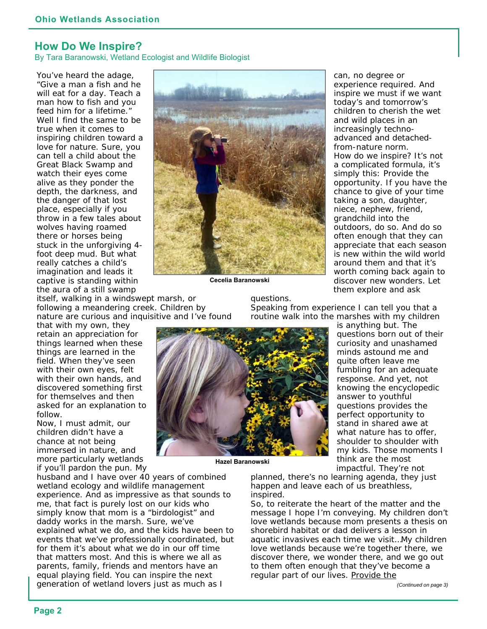#### **How Do We Inspire?**

By Tara Baranowski, Wetland Ecologist and Wildlife Biologist

You've heard the adage, "Give a man a fish and he will eat for a day. Teach a man how to fish and you feed him for a lifetime." Well I find the same to be true when it comes to inspiring children toward a love for nature. Sure, you can tell a child about the Great Black Swamp and watch their eyes come alive as they ponder the depth, the darkness, and the danger of that lost place, especially if you throw in a few tales about wolves having roamed there or horses being stuck in the unforgiving 4 foot deep mud. But what really catches a child's imagination and leads it captive is standing within the aura of a still swamp



**Cecelia Baranowski** 

can, no degree or experience required. And inspire we must if we want today's and tomorrow's children to cherish the wet and wild places in an increasingly technoadvanced and detachedfrom-nature norm. How do we inspire? It's not a complicated formula, it's simply this: Provide the opportunity. If you have the chance to give of your time taking a son, daughter, niece, nephew, friend, grandchild into the outdoors, do so. And do so often enough that they can appreciate that each season is new within the wild world around them and that it's worth coming back again to discover new wonders. Let them explore and ask

itself, walking in a windswept marsh, or following a meandering creek. Children by nature are curious and inquisitive and I've found

that with my own, they retain an appreciation for things learned when these things are learned in the field. When they've seen with their own eyes, felt with their own hands, and discovered something *first for themselves* and then asked for an explanation to follow.

Now, I must admit, our children didn't have a chance at *not* being immersed in nature, and more particularly wetlands if you'll pardon the pun. My

husband and I have over 40 years of combined wetland ecology and wildlife management experience. And as impressive as that sounds to me, that fact is purely lost on our kids who simply know that mom is a "birdologist" and daddy works in the marsh. Sure, we've explained what we do, and the kids have been to events that we've professionally coordinated, but for them it's about what we do in our *off time* that matters most. And this is where we *all* as parents, family, friends and mentors have an equal playing field. You can inspire the next generation of wetland lovers just as much as I

questions.

Speaking from experience I can tell you that a routine walk into the marshes with my children



**Hazel Baranowski** 

is anything but. The questions born out of their curiosity and unashamed minds astound me and quite often leave me fumbling for an adequate response. And yet, not knowing the encyclopedic answer to youthful questions provides the perfect opportunity to stand in shared awe at what nature has to offer, shoulder to shoulder with my kids. Those moments I think are the most impactful. They're not

planned, there's no learning agenda, they just happen and leave each of us breathless, inspired.

So, to reiterate the heart of the matter and the message I hope I'm conveying. My children don't love wetlands because mom presents a thesis on shorebird habitat or dad delivers a lesson in aquatic invasives each time we visit…My children love wetlands because we're *together* there, we *discover* there, we *wonder* there, and we go out to them often enough that they've become a regular part of our lives. Provide the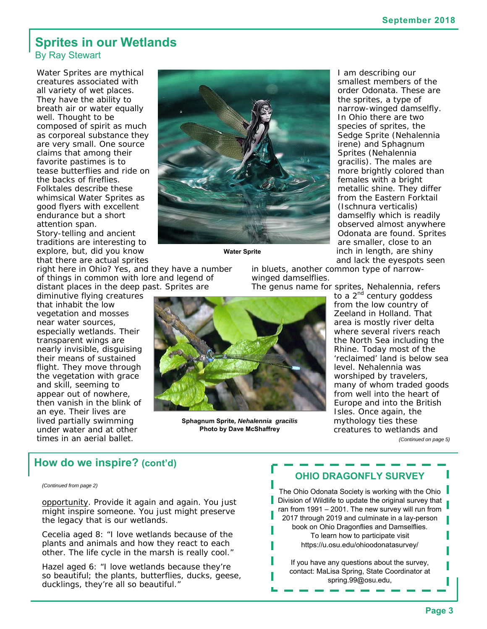#### **Sprites in our Wetlands**  By Ray Stewart

Water Sprites are mythical creatures associated with all variety of wet places. They have the ability to breath air or water equally well. Thought to be composed of spirit as much as corporeal substance they are very small. One source claims that among their favorite pastimes is to tease butterflies and ride on the backs of fireflies. Folktales describe these whimsical Water Sprites as good flyers with excellent endurance but a short attention span.

Story-telling and ancient traditions are interesting to explore, but, did you know that there are actual sprites

right here in Ohio? Yes, and they have a number of things in common with lore and legend of distant places in the deep past. Sprites are

diminutive flying creatures that inhabit the low vegetation and mosses near water sources, especially wetlands. Their transparent wings are nearly invisible, disguising their means of sustained flight. They move through the vegetation with grace and skill, seeming to appear out of nowhere, then vanish in the blink of an eye. Their lives are lived partially swimming under water and at other times in an aerial ballet.



**Water Sprite** 

I am describing our smallest members of the order Odonata. These are the sprites, a type of narrow-winged damselfly. In Ohio there are two species of sprites, the Sedge Sprite (*Nehalennia irene*) and Sphagnum Sprites (*Nehalennia gracilis*). The males are more brightly colored than females with a bright metallic shine. They differ from the Eastern Forktail (*Ischnura verticalis*) damselfly which is readily observed almost anywhere Odonata are found. Sprites are smaller, close to an inch in length, are shiny and lack the eyespots seen

in bluets, another common type of narrowwinged damselflies.

The genus name for sprites, Nehalennia, refers



**Sphagnum Sprite***, Nehalennia gracilis*  **Photo by Dave McShaffrey** 

to a 2<sup>nd</sup> century goddess from the low country of Zeeland in Holland. That area is mostly river delta where several rivers reach the North Sea including the Rhine. Today most of the 'reclaimed' land is below sea level. Nehalennia was worshiped by travelers, many of whom traded goods from well into the heart of Europe and into the British Isles. Once again, the mythology ties these creatures to wetlands and *(Continued on page 5)* 

 **How do we inspire? (cont'd)**

#### *(Continued from page 2)*

opportunity. Provide it again and again. You just might inspire someone. You just might preserve the legacy that is our wetlands.

Cecelia aged 8: "I love wetlands because of the plants and animals and how they react to each other. The life cycle in the marsh is really cool."

Hazel aged 6: "I love wetlands because they're so beautiful; the plants, butterflies, ducks, geese, ducklings, they're all so beautiful."

#### **OHIO DRAGONFLY SURVEY**

The Ohio Odonata Society is working with the Ohio Division of Wildlife to update the original survey that ran from 1991 – 2001. The new survey will run from 2017 through 2019 and culminate in a lay-person book on Ohio Dragonflies and Damselflies. To learn how to participate visit <https://u.osu.edu/ohioodonatasurvey/>

If you have any questions about the survey, contact: MaLisa Spring, State Coordinator at [spring.99@osu.edu,](mailto:spring.99@osu.edu)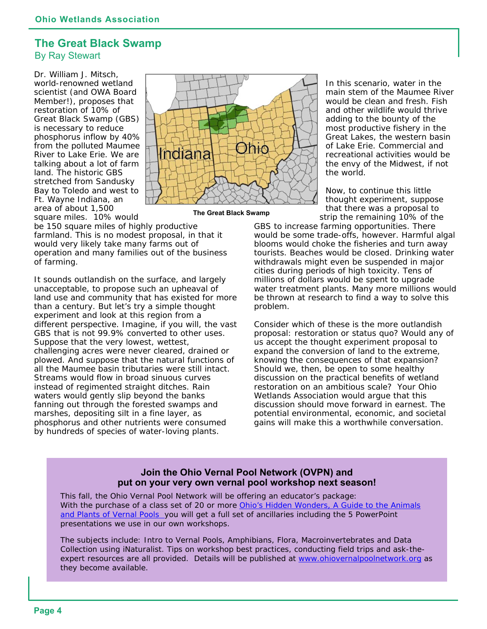#### **The Great Black Swamp**  By Ray Stewart

Dr. William J. Mitsch, world-renowned wetland scientist (and OWA Board Member!), proposes that restoration of 10% of Great Black Swamp (GBS) is necessary to reduce phosphorus inflow by 40% from the polluted Maumee River to Lake Erie. We are talking about a lot of farm land. The historic GBS stretched from Sandusky Bay to Toledo and west to Ft. Wayne Indiana, an area of about 1,500 square miles. 10% would



**The Great Black Swamp** 

be 150 square miles of highly productive farmland. This is no modest proposal, in that it would very likely take many farms out of operation and many families out of the business of farming.

It sounds outlandish on the surface, and largely unacceptable, to propose such an upheaval of land use and community that has existed for more than a century. But let's try a simple thought experiment and look at this region from a different perspective. Imagine, if you will, the vast GBS that is not 99.9% converted to other uses. Suppose that the very lowest, wettest, challenging acres were never cleared, drained or plowed. And suppose that the natural functions of all the Maumee basin tributaries were still intact. Streams would flow in broad sinuous curves instead of regimented straight ditches. Rain waters would gently slip beyond the banks fanning out through the forested swamps and marshes, depositing silt in a fine layer, as phosphorus and other nutrients were consumed by hundreds of species of water-loving plants.

In this scenario, water in the main stem of the Maumee River would be clean and fresh. Fish and other wildlife would thrive adding to the bounty of the most productive fishery in the Great Lakes, the western basin of Lake Erie. Commercial and recreational activities would be the envy of the Midwest, if not the world.

Now, to continue this little thought experiment, suppose that there was a proposal to strip the remaining 10% of the

GBS to increase farming opportunities. There would be some trade-offs, however. Harmful algal blooms would choke the fisheries and turn away tourists. Beaches would be closed. Drinking water withdrawals might even be suspended in major cities during periods of high toxicity. Tens of millions of dollars would be spent to upgrade water treatment plants. Many more millions would be thrown at research to find a way to solve this problem.

Consider which of these is the more outlandish proposal: restoration or status quo? Would any of us accept the thought experiment proposal to expand the conversion of land to the extreme, knowing the consequences of that expansion? Should we, then, be open to some healthy discussion on the practical benefits of wetland restoration on an ambitious scale? Your Ohio Wetlands Association would arque that this discussion should move forward in earnest. The potential environmental, economic, and societal gains will make this a worthwhile conversation.

#### **Join the Ohio Vernal Pool Network (OVPN) and put on your very own vernal pool workshop next season!**

This fall, the Ohio Vernal Pool Network will be offering an educator's package: With the purchase of a class set of 20 or more *Ohio's Hidden Wonders, A Guide to the Animals and Plants of Vernal Pools* you will get a full set of ancillaries including the 5 PowerPoint presentations we use in our own workshops.

The subjects include: Intro to Vernal Pools, Amphibians, Flora, Macroinvertebrates and Data Collection using iNaturalist. Tips on workshop best practices, conducting field trips and ask-theexpert resources are all provided. Details will be published at [www.ohiovernalpoolnetwork.org as](http://www.ohiovernalpoolnetwork.org) they become available.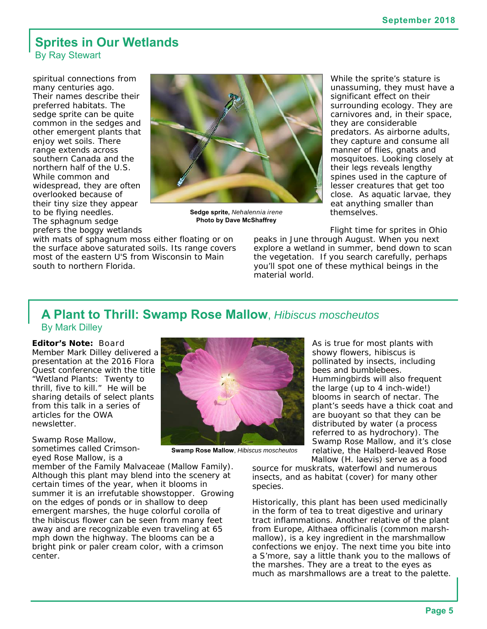#### **Sprites in Our Wetlands**  By Ray Stewart

spiritual connections from many centuries ago. Their names describe their preferred habitats. The sedge sprite can be quite common in the sedges and other emergent plants that enjoy wet soils. There range extends across southern Canada and the northern half of the U.S. While common and widespread, they are often overlooked because of their tiny size they appear to be flying needles. The sphagnum sedge prefers the boggy wetlands



**Sedge sprite,** *Nehalennia irene*  **Photo by Dave McShaffrey** 

with mats of sphagnum moss either floating or on the surface above saturated soils. Its range covers most of the eastern U'S from Wisconsin to Main south to northern Florida.

While the sprite's stature is unassuming, they must have a significant effect on their surrounding ecology. They are carnivores and, in their space, they are considerable predators. As airborne adults, they capture and consume all manner of flies, gnats and mosquitoes. Looking closely at their legs reveals lengthy spines used in the capture of lesser creatures that get too close. As aquatic larvae, they eat anything smaller than themselves.

Flight time for sprites in Ohio

peaks in June through August. When you next explore a wetland in summer, bend down to scan the vegetation. If you search carefully, perhaps you'll spot one of these mythical beings in the material world.

#### **A Plant to Thrill: Swamp Rose Mallow**, *Hibiscus moscheutos*  By Mark Dilley

**Editor's Note:** Board Member Mark Dilley delivered a presentation at the 2016 Flora Quest conference with the title "Wetland Plants: Twenty to thrill, five to kill." He will be sharing details of select plants from this talk in a series of articles for the OWA newsletter.

Swamp Rose Mallow, sometimes called Crimsoneyed Rose Mallow, is a

member of the Family Malvaceae (Mallow Family). Although this plant may blend into the scenery at certain times of the year, when it blooms in summer it is an irrefutable showstopper. Growing on the edges of ponds or in shallow to deep emergent marshes, the huge colorful corolla of the hibiscus flower can be seen from many feet away and are recognizable even traveling at 65 mph down the highway. The blooms can be a bright pink or paler cream color, with a crimson center.



**Swamp Rose Mallow**, *Hibiscus moscheutos* 

As is true for most plants with showy flowers, hibiscus is pollinated by insects, including bees and bumblebees. Hummingbirds will also frequent the large (up to 4 inch-wide!) blooms in search of nectar. The plant's seeds have a thick coat and are buoyant so that they can be distributed by water (a process referred to as hydrochory). The Swamp Rose Mallow, and it's close relative, the Halberd-leaved Rose Mallow (*H. laevis*) serve as a food

source for muskrats, waterfowl and numerous insects, and as habitat (cover) for many other species.

Historically, this plant has been used medicinally in the form of tea to treat digestive and urinary tract inflammations. Another relative of the plant from Europe, *Althaea officinalis* (common marshmallow), is a key ingredient in the marshmallow confections we enjoy. The next time you bite into a S'more, say a little thank you to the mallows of the marshes. They are a treat to the eyes as much as marshmallows are a treat to the palette.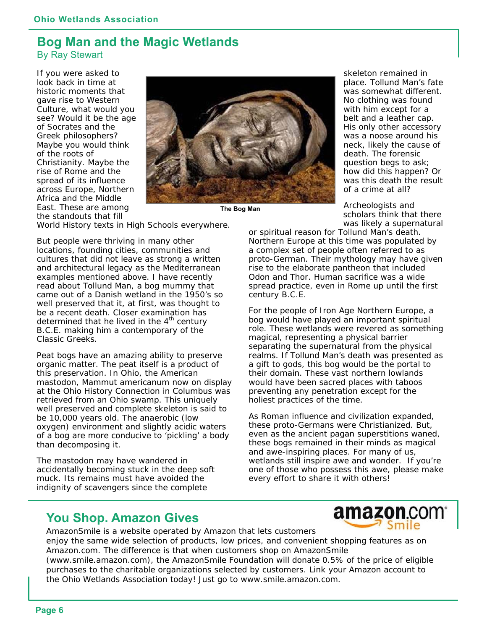#### **Bog Man and the Magic Wetlands**  By Ray Stewart

If you were asked to look back in time at historic moments that gave rise to Western Culture, what would you see? Would it be the age of Socrates and the Greek philosophers? Maybe you would think of the roots of Christianity. Maybe the rise of Rome and the spread of its influence across Europe, Northern Africa and the Middle East. These are among the standouts that fill



**The Bog Man** 

World History texts in High Schools everywhere.

But people were thriving in many other locations, founding cities, communities and cultures that did not leave as strong a written and architectural legacy as the Mediterranean examples mentioned above. I have recently read about Tollund Man, a bog mummy that came out of a Danish wetland in the 1950's so well preserved that it, at first, was thought to be a recent death. Closer examination has determined that he lived in the  $4<sup>th</sup>$  century B.C.E. making him a contemporary of the Classic Greeks.

Peat bogs have an amazing ability to preserve organic matter. The peat itself is a product of this preservation. In Ohio, the American mastodon, *Mammut americanum now on display at the Ohio History Connection in Columbus was retrieved from an Ohio swamp*. This uniquely well preserved and complete skeleton is said to be 10,000 years old. The anaerobic (low oxygen) environment and slightly acidic waters of a bog are more conducive to 'pickling' a body than decomposing it.

The mastodon may have wandered in accidentally becoming stuck in the deep soft muck. Its remains must have avoided the indignity of scavengers since the complete

skeleton remained in place. Tollund Man's fate was somewhat different. No clothing was found with him except for a belt and a leather cap. His only other accessory was a noose around his neck, likely the cause of death. The forensic question begs to ask; how did this happen? Or was this death the result of a crime at all?

Archeologists and scholars think that there was likely a supernatural

or spiritual reason for Tollund Man's death. Northern Europe at this time was populated by a complex set of people often referred to as proto-German. Their mythology may have given rise to the elaborate pantheon that included Odon and Thor. Human sacrifice was a wide spread practice, even in Rome up until the first century B.C.E.

For the people of Iron Age Northern Europe, a bog would have played an important spiritual role. These wetlands were revered as something magical, representing a physical barrier separating the supernatural from the physical realms. If Tollund Man's death was presented as a gift to gods, this bog would be the portal to their domain. These vast northern lowlands would have been sacred places with taboos preventing any penetration except for the holiest practices of the time.

As Roman influence and civilization expanded, these proto-Germans were Christianized. But, even as the ancient pagan superstitions waned, these bogs remained in their minds as magical and awe-inspiring places. For many of us, wetlands still inspire awe and wonder. If you're one of those who possess this awe, please make every effort to share it with others!

## **You Shop. Amazon Gives**



AmazonSmile is a website operated by Amazon that lets customers enjoy the same wide selection of products, low prices, and convenient shopping features as on Amazon.com. The difference is that when customers shop on AmazonSmile ([www.smile.amazon.com\), th](http://www.smile.amazon.com)e AmazonSmile Foundation will donate 0.5% of the price of eligible purchases to the charitable organizations selected by customers. Link your Amazon account to the Ohio Wetlands Association today! Just go to [www.smile.amazon.com.](http://www.smile.amazon.com)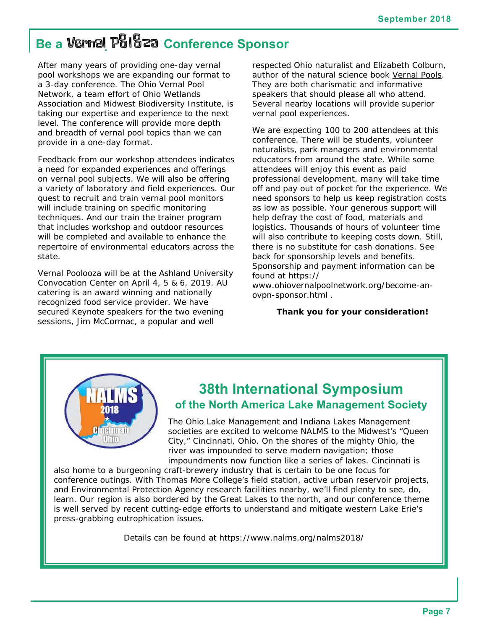# **Be a Vernal Poloza Conference Sponsor**

After many years of providing one-day vernal pool workshops we are expanding our format to a 3-day conference. The Ohio Vernal Pool Network, a team effort of Ohio Wetlands Association and Midwest Biodiversity Institute, is taking our expertise and experience to the next level. The conference will provide more depth and breadth of vernal pool topics than we can provide in a one-day format.

Feedback from our workshop attendees indicates a need for expanded experiences and offerings on vernal pool subjects. We will also be offering a variety of laboratory and field experiences. Our quest to recruit and train vernal pool monitors will include training on specific monitoring techniques. And our train the trainer program that includes workshop and outdoor resources will be completed and available to enhance the repertoire of environmental educators across the state.

Vernal Poolooza will be at the Ashland University Convocation Center on April 4, 5 & 6, 2019. AU catering is an award winning and nationally recognized food service provider. We have secured Keynote speakers for the two evening sessions, Jim McCormac, a popular and well

respected Ohio naturalist and Elizabeth Colburn, author of the natural science book Vernal Pools. They are both charismatic and informative speakers that should please all who attend. Several nearby locations will provide superior vernal pool experiences.

We are expecting 100 to 200 attendees at this conference. There will be students, volunteer naturalists, park managers and environmental educators from around the state. While some attendees will enjoy this event as paid professional development, many will take time off and pay out of pocket for the experience. We need sponsors to help us keep registration costs as low as possible. Your generous support will help defray the cost of food, materials and logistics. Thousands of hours of volunteer time will also contribute to keeping costs down. Still, there is no substitute for cash donations. See back for sponsorship levels and benefits. Sponsorship and payment information can be found at [https://](https://www.ohiovernalpoolnetwork.org/become-an-ovpn-sponsor.html)

[www.ohiovernalpoolnetwork.org/become-an](https://www.ohiovernalpoolnetwork.org/become-an-ovpn-sponsor.html)ovpn[-sponsor.html .](https://www.ohiovernalpoolnetwork.org/become-an-ovpn-sponsor.html) 

#### **Thank you for your consideration!**



# **38th International Symposium of the North America Lake Management Society**

The Ohio Lake Management and Indiana Lakes Management societies are excited to welcome NALMS to the Midwest's "Queen City," Cincinnati, Ohio. On the shores of the mighty Ohio, the river was impounded to serve modern navigation; those impoundments now function like a series of lakes. Cincinnati is

also home to a burgeoning craft-brewery industry that is certain to be one focus for conference outings. With Thomas More College's field station, active urban reservoir projects, and Environmental Protection Agency research facilities nearby, we'll find plenty to see, do, learn. Our region is also bordered by the Great Lakes to the north, and our conference theme is well served by recent cutting-edge efforts to understand and mitigate western Lake Erie's press-grabbing eutrophication issues.

Details can be found at <https://www.nalms.org/nalms2018/>